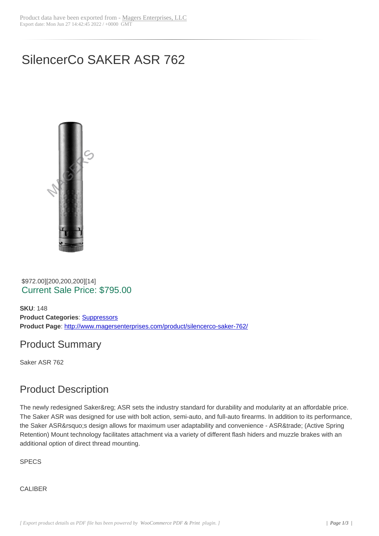# SilencerCo SAKER ASR 762



 \$972.00][200,200,200][14] Current Sale Price: \$795.00

**SKU**: 148 **Product Categories: Suppressors Product Page**: http://www.magersenterprises.com/product/silencerco-saker-762/

### Product Sum[mary](http://www.magersenterprises.com/product-category/suppressors/)

Saker ASR 762

### Product Description

The newly redesigned Saker® ASR sets the industry standard for durability and modularity at an affordable price. The Saker ASR was designed for use with bolt action, semi-auto, and full-auto firearms. In addition to its performance, the Saker ASR's design allows for maximum user adaptability and convenience - ASR™ (Active Spring Retention) Mount technology facilitates attachment via a variety of different flash hiders and muzzle brakes with an additional option of direct thread mounting.

**SPECS** 

**CALIBER**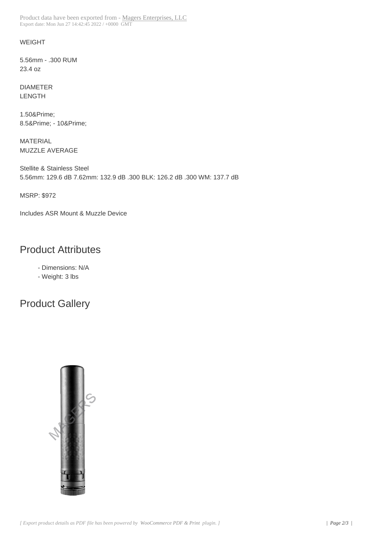#### WEIGHT

5.56mm - .300 RUM 23.4 oz

DIAMETER LENGTH

1.50″ 8.5& Prime; - 10& Prime;

MATERIAL MUZZLE AVERAGE

Stellite & Stainless Steel 5.56mm: 129.6 dB 7.62mm: 132.9 dB .300 BLK: 126.2 dB .300 WM: 137.7 dB

MSRP: \$972

Includes ASR Mount & Muzzle Device

### Product Attributes

- Dimensions: N/A

- Weight: 3 lbs

## Product Gallery